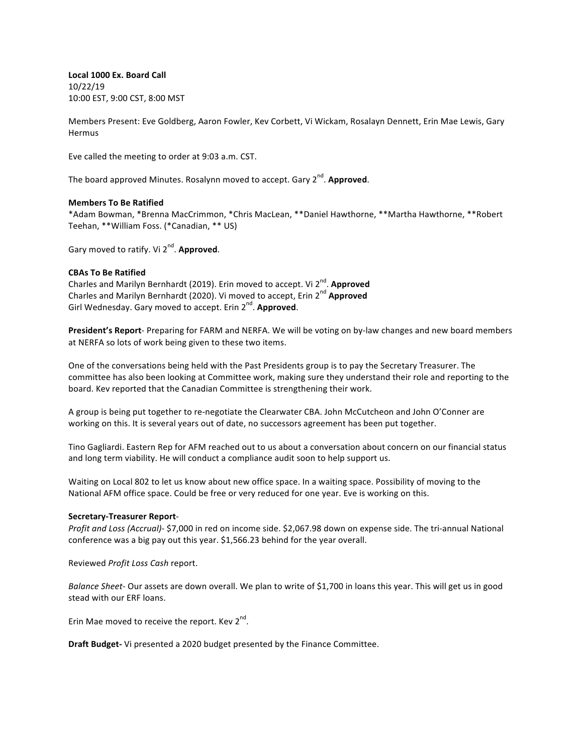Local 1000 Ex. Board Call 10/22/19 10:00 EST, 9:00 CST, 8:00 MST

Members Present: Eve Goldberg, Aaron Fowler, Kev Corbett, Vi Wickam, Rosalayn Dennett, Erin Mae Lewis, Gary Hermus

Eve called the meeting to order at 9:03 a.m. CST.

The board approved Minutes. Rosalynn moved to accept. Gary 2<sup>nd</sup>. Approved.

#### **Members To Be Ratified**

\*Adam Bowman, \*Brenna MacCrimmon, \*Chris MacLean, \*\*Daniel Hawthorne, \*\*Martha Hawthorne, \*\*Robert Teehan, \*\*William Foss. (\*Canadian, \*\* US)

Gary moved to ratify. Vi 2<sup>nd</sup>. Approved.

### **CBAs To Be Ratified**

Charles and Marilyn Bernhardt (2019). Erin moved to accept. Vi 2<sup>nd</sup>. Approved Charles and Marilyn Bernhardt (2020). Vi moved to accept, Erin 2<sup>nd</sup> Approved Girl Wednesday. Gary moved to accept. Erin 2<sup>nd</sup>. Approved.

**President's Report-** Preparing for FARM and NERFA. We will be voting on by-law changes and new board members at NERFA so lots of work being given to these two items.

One of the conversations being held with the Past Presidents group is to pay the Secretary Treasurer. The committee has also been looking at Committee work, making sure they understand their role and reporting to the board. Kev reported that the Canadian Committee is strengthening their work.

A group is being put together to re-negotiate the Clearwater CBA. John McCutcheon and John O'Conner are working on this. It is several years out of date, no successors agreement has been put together.

Tino Gagliardi. Eastern Rep for AFM reached out to us about a conversation about concern on our financial status and long term viability. He will conduct a compliance audit soon to help support us.

Waiting on Local 802 to let us know about new office space. In a waiting space. Possibility of moving to the National AFM office space. Could be free or very reduced for one year. Eve is working on this.

#### **Secretary-Treasurer Report**-

*Profit and Loss (Accrual)-* \$7,000 in red on income side. \$2,067.98 down on expense side. The tri-annual National conference was a big pay out this year. \$1,566.23 behind for the year overall.

Reviewed *Profit Loss Cash* report.

*Balance Sheet*- Our assets are down overall. We plan to write of \$1,700 in loans this year. This will get us in good stead with our ERF loans.

Erin Mae moved to receive the report. Kev  $2^{nd}$ .

**Draft Budget-** Vi presented a 2020 budget presented by the Finance Committee.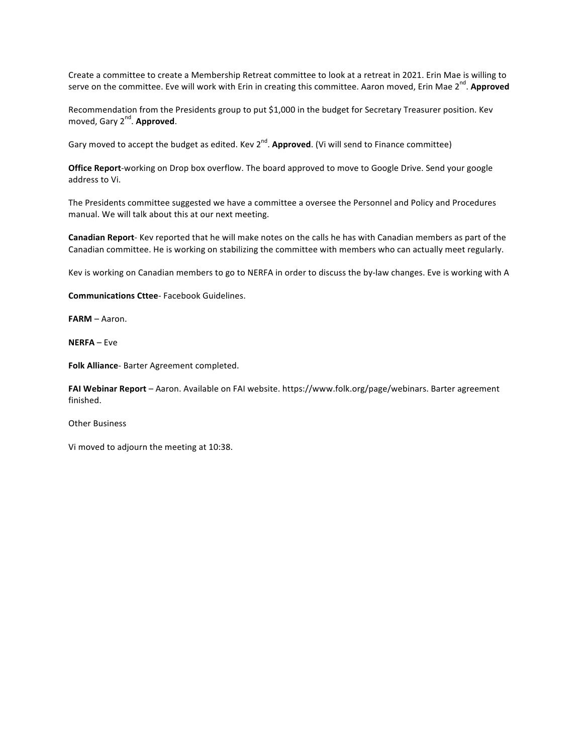Create a committee to create a Membership Retreat committee to look at a retreat in 2021. Erin Mae is willing to serve on the committee. Eve will work with Erin in creating this committee. Aaron moved, Erin Mae 2<sup>nd</sup>. Approved

Recommendation from the Presidents group to put \$1,000 in the budget for Secretary Treasurer position. Kev moved, Gary 2<sup>nd</sup>. Approved.

Gary moved to accept the budget as edited. Kev 2<sup>nd</sup>. **Approved**. (Vi will send to Finance committee)

Office Report-working on Drop box overflow. The board approved to move to Google Drive. Send your google address to Vi.

The Presidents committee suggested we have a committee a oversee the Personnel and Policy and Procedures manual. We will talk about this at our next meeting.

**Canadian Report**- Kev reported that he will make notes on the calls he has with Canadian members as part of the Canadian committee. He is working on stabilizing the committee with members who can actually meet regularly.

Kev is working on Canadian members to go to NERFA in order to discuss the by-law changes. Eve is working with A

**Communications Cttee**- Facebook Guidelines.

**FARM** – Aaron. 

**NERFA** – Eve

**Folk Alliance**- Barter Agreement completed.

FAI Webinar Report - Aaron. Available on FAI website. https://www.folk.org/page/webinars. Barter agreement finished. 

**Other Business** 

Vi moved to adjourn the meeting at 10:38.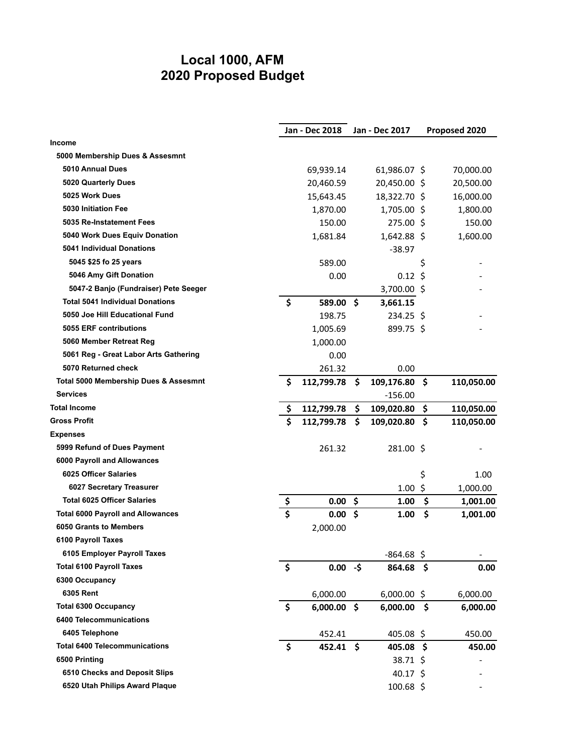## **Local 1000, AFM 2020 Proposed Budget**

|                                          |                         | Jan - Dec 2018 |     | Jan - Dec 2017     | Proposed 2020 |            |  |  |
|------------------------------------------|-------------------------|----------------|-----|--------------------|---------------|------------|--|--|
| <b>Income</b>                            |                         |                |     |                    |               |            |  |  |
| 5000 Membership Dues & Assesmnt          |                         |                |     |                    |               |            |  |  |
| 5010 Annual Dues                         |                         | 69,939.14      |     | 61,986.07 \$       |               | 70,000.00  |  |  |
| 5020 Quarterly Dues                      |                         | 20,460.59      |     | 20,450.00 \$       |               | 20,500.00  |  |  |
| 5025 Work Dues                           |                         | 15,643.45      |     | 18,322.70 \$       |               | 16,000.00  |  |  |
| 5030 Initiation Fee                      |                         | 1,870.00       |     | 1,705.00 \$        |               | 1,800.00   |  |  |
| 5035 Re-Instatement Fees                 |                         | 150.00         |     | 275.00 \$          |               | 150.00     |  |  |
| 5040 Work Dues Equiv Donation            |                         | 1,681.84       |     | $1,642.88$ \$      |               | 1,600.00   |  |  |
| 5041 Individual Donations                |                         |                |     | -38.97             |               |            |  |  |
| 5045 \$25 fo 25 years                    |                         | 589.00         |     |                    | \$            |            |  |  |
| 5046 Amy Gift Donation                   |                         | 0.00           |     | $0.12 \; \text{S}$ |               |            |  |  |
| 5047-2 Banjo (Fundraiser) Pete Seeger    |                         |                |     | 3,700.00 \$        |               |            |  |  |
| <b>Total 5041 Individual Donations</b>   | \$                      | 589.00 \$      |     | 3,661.15           |               |            |  |  |
| 5050 Joe Hill Educational Fund           |                         | 198.75         |     | $234.25$ \$        |               |            |  |  |
| 5055 ERF contributions                   |                         | 1,005.69       |     | 899.75 \$          |               |            |  |  |
| 5060 Member Retreat Reg                  |                         | 1,000.00       |     |                    |               |            |  |  |
| 5061 Reg - Great Labor Arts Gathering    |                         | 0.00           |     |                    |               |            |  |  |
| 5070 Returned check                      |                         | 261.32         |     | 0.00               |               |            |  |  |
| Total 5000 Membership Dues & Assesmnt    | Ś                       | 112,799.78     | \$. | 109,176.80         | .\$           | 110,050.00 |  |  |
| <b>Services</b>                          |                         |                |     | $-156.00$          |               |            |  |  |
| Total Income                             | \$.                     | 112,799.78     | \$  | 109,020.80         | \$            | 110,050.00 |  |  |
| <b>Gross Profit</b>                      | Ś.                      | 112,799.78     | \$. | 109,020.80         | \$            | 110,050.00 |  |  |
| <b>Expenses</b>                          |                         |                |     |                    |               |            |  |  |
| 5999 Refund of Dues Payment              |                         | 261.32         |     | 281.00 \$          |               |            |  |  |
| 6000 Payroll and Allowances              |                         |                |     |                    |               |            |  |  |
| 6025 Officer Salaries                    |                         |                |     |                    | \$            | 1.00       |  |  |
| 6027 Secretary Treasurer                 |                         |                |     | 1.00               | \$            | 1,000.00   |  |  |
| <b>Total 6025 Officer Salaries</b>       | <u>\$</u>               | 0.00           | \$  | 1.00               | \$            | 1,001.00   |  |  |
| <b>Total 6000 Payroll and Allowances</b> | $\overline{\mathsf{s}}$ | 0.00           | \$  | 1.00               | \$            | 1,001.00   |  |  |
| 6050 Grants to Members                   |                         | 2,000.00       |     |                    |               |            |  |  |
| 6100 Payroll Taxes                       |                         |                |     |                    |               |            |  |  |
| 6105 Employer Payroll Taxes              |                         |                |     | $-864.68$          | \$            |            |  |  |
| <b>Total 6100 Payroll Taxes</b>          | \$                      | $0.00 - $$     |     | 864.68 \$          |               | 0.00       |  |  |
| 6300 Occupancy                           |                         |                |     |                    |               |            |  |  |
| 6305 Rent                                |                         | 6,000.00       |     | $6,000.00$ \$      |               | 6,000.00   |  |  |
| <b>Total 6300 Occupancy</b>              | \$                      | $6,000.00$ \$  |     | 6,000.00           | \$            | 6,000.00   |  |  |
| <b>6400 Telecommunications</b>           |                         |                |     |                    |               |            |  |  |
| 6405 Telephone                           |                         | 452.41         |     | $405.08$ \$        |               | 450.00     |  |  |
| <b>Total 6400 Telecommunications</b>     | \$                      | 452.41 \$      |     | $405.08 \; \simeq$ |               | 450.00     |  |  |
| 6500 Printing                            |                         |                |     | 38.71 \$           |               |            |  |  |
| 6510 Checks and Deposit Slips            |                         |                |     | 40.17 \$           |               |            |  |  |
| 6520 Utah Philips Award Plaque           |                         |                |     | $100.68$ \$        |               |            |  |  |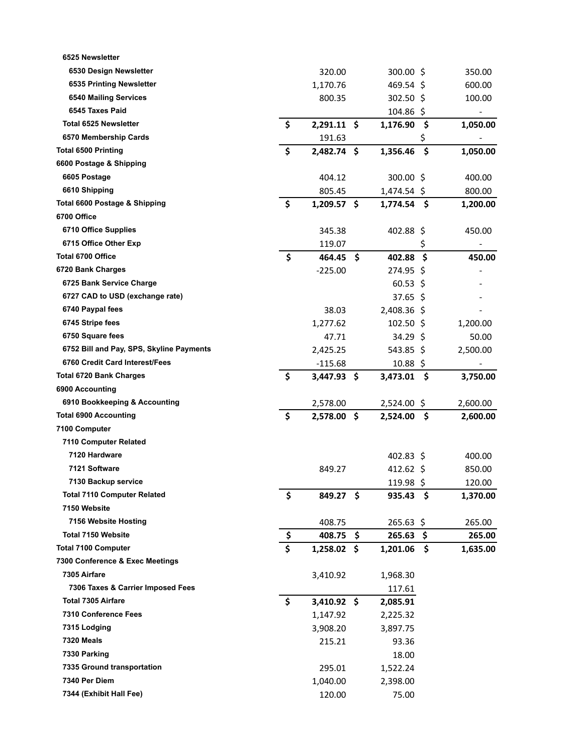| 6525 Newsletter                          |           |               |     |                    |     |          |
|------------------------------------------|-----------|---------------|-----|--------------------|-----|----------|
| 6530 Design Newsletter                   |           | 320.00        |     | 300.00 \$          |     | 350.00   |
| 6535 Printing Newsletter                 |           | 1,170.76      |     | $469.54$ \$        |     | 600.00   |
| <b>6540 Mailing Services</b>             |           | 800.35        |     | 302.50 \$          |     | 100.00   |
| 6545 Taxes Paid                          |           |               |     | 104.86 \$          |     |          |
| <b>Total 6525 Newsletter</b>             | \$        | $2,291.11$ \$ |     | 1,176.90           | \$  | 1,050.00 |
| 6570 Membership Cards                    |           | 191.63        |     |                    | \$  |          |
| <b>Total 6500 Printing</b>               | \$        | 2,482.74 \$   |     | 1,356.46           | \$  | 1,050.00 |
| 6600 Postage & Shipping                  |           |               |     |                    |     |          |
| 6605 Postage                             |           | 404.12        |     | 300.00 \$          |     | 400.00   |
| 6610 Shipping                            |           | 805.45        |     | 1,474.54 \$        |     | 800.00   |
| Total 6600 Postage & Shipping            | \$        | $1,209.57$ \$ |     | $1,774.54$ \$      |     | 1,200.00 |
| 6700 Office                              |           |               |     |                    |     |          |
| 6710 Office Supplies                     |           | 345.38        |     | 402.88 \$          |     | 450.00   |
| 6715 Office Other Exp                    |           | 119.07        |     |                    | \$  | -        |
| <b>Total 6700 Office</b>                 | \$        | 464.45        | -\$ | 402.88             | \$  | 450.00   |
| 6720 Bank Charges                        |           | $-225.00$     |     | 274.95 \$          |     |          |
| 6725 Bank Service Charge                 |           |               |     | $60.53 \; \simeq$  |     |          |
| 6727 CAD to USD (exchange rate)          |           |               |     | $37.65 \;$ \$      |     |          |
| 6740 Paypal fees                         |           | 38.03         |     | 2,408.36 \$        |     |          |
| 6745 Stripe fees                         |           | 1,277.62      |     | $102.50$ \$        |     | 1,200.00 |
| 6750 Square fees                         |           | 47.71         |     | 34.29 \$           |     | 50.00    |
| 6752 Bill and Pay, SPS, Skyline Payments |           | 2,425.25      |     | $543.85$ \$        |     | 2,500.00 |
| 6760 Credit Card Interest/Fees           |           | $-115.68$     |     | $10.88 \; \zeta$   |     |          |
| <b>Total 6720 Bank Charges</b>           | \$        | $3,447.93$ \$ |     | 3,473.01           | .\$ | 3,750.00 |
| 6900 Accounting                          |           |               |     |                    |     |          |
| 6910 Bookkeeping & Accounting            |           | 2,578.00      |     | 2,524.00 \$        |     | 2,600.00 |
| <b>Total 6900 Accounting</b>             | \$        | 2,578.00 \$   |     | 2,524.00           | \$  | 2,600.00 |
| 7100 Computer                            |           |               |     |                    |     |          |
| 7110 Computer Related                    |           |               |     |                    |     |          |
| 7120 Hardware                            |           |               |     | $402.83 \;$ \$     |     | 400.00   |
| 7121 Software                            |           | 849.27        |     | 412.62 \$          |     | 850.00   |
| 7130 Backup service                      |           |               |     | 119.98 \$          |     | 120.00   |
| <b>Total 7110 Computer Related</b>       | \$        | 849.27 \$     |     | $935.43 \quad $$   |     | 1,370.00 |
| 7150 Website                             |           |               |     |                    |     |          |
| 7156 Website Hosting                     |           | 408.75        |     | 265.63 \$          |     | 265.00   |
| <b>Total 7150 Website</b>                | <u>\$</u> | 408.75        | \$  | $265.63 \; \simeq$ |     | 265.00   |
| <b>Total 7100 Computer</b>               | \$        | $1,258.02$ \$ |     | 1,201.06           | \$  | 1,635.00 |
| 7300 Conference & Exec Meetings          |           |               |     |                    |     |          |
| 7305 Airfare                             |           | 3,410.92      |     | 1,968.30           |     |          |
| 7306 Taxes & Carrier Imposed Fees        |           |               |     | 117.61             |     |          |
| <b>Total 7305 Airfare</b>                | \$        | $3,410.92$ \$ |     | 2,085.91           |     |          |
| 7310 Conference Fees                     |           | 1,147.92      |     | 2,225.32           |     |          |
| 7315 Lodging                             |           | 3,908.20      |     | 3,897.75           |     |          |
| <b>7320 Meals</b>                        |           | 215.21        |     | 93.36              |     |          |
| 7330 Parking                             |           |               |     | 18.00              |     |          |
| 7335 Ground transportation               |           | 295.01        |     | 1,522.24           |     |          |
| 7340 Per Diem                            |           | 1,040.00      |     | 2,398.00           |     |          |
| 7344 (Exhibit Hall Fee)                  |           | 120.00        |     | 75.00              |     |          |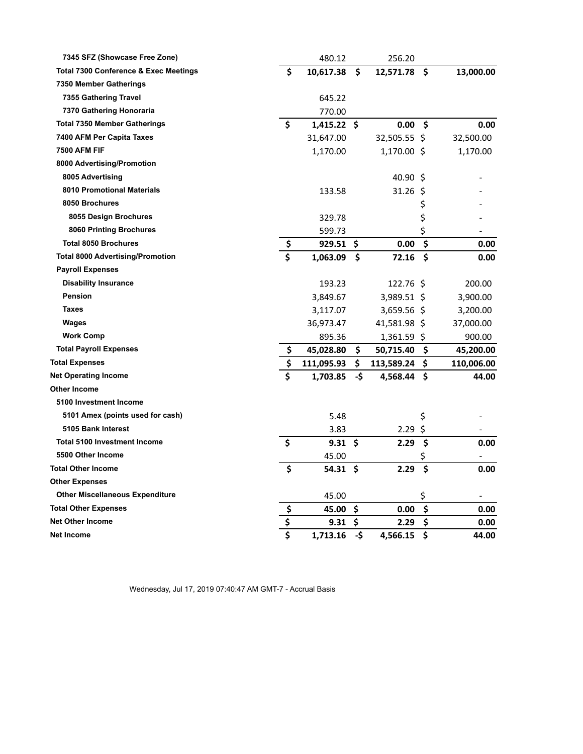| 7345 SFZ (Showcase Free Zone)                    |    | 480.12              |     | 256.20           |     |            |
|--------------------------------------------------|----|---------------------|-----|------------------|-----|------------|
| <b>Total 7300 Conference &amp; Exec Meetings</b> | \$ | 10,617.38           | \$  | 12,571.78        | \$. | 13,000.00  |
| 7350 Member Gatherings                           |    |                     |     |                  |     |            |
| 7355 Gathering Travel                            |    | 645.22              |     |                  |     |            |
| 7370 Gathering Honoraria                         |    | 770.00              |     |                  |     |            |
| <b>Total 7350 Member Gatherings</b>              | \$ | $1,415.22$ \$       |     | 0.00             | -\$ | 0.00       |
| 7400 AFM Per Capita Taxes                        |    | 31,647.00           |     | 32,505.55 \$     |     | 32,500.00  |
| <b>7500 AFM FIF</b>                              |    | 1,170.00            |     | 1,170.00 \$      |     | 1,170.00   |
| 8000 Advertising/Promotion                       |    |                     |     |                  |     |            |
| 8005 Advertising                                 |    |                     |     | $40.90 \text{ }$ |     |            |
| 8010 Promotional Materials                       |    | 133.58              |     | $31.26$ \$       |     |            |
| 8050 Brochures                                   |    |                     |     |                  | \$  |            |
| 8055 Design Brochures                            |    | 329.78              |     |                  | \$  |            |
| <b>8060 Printing Brochures</b>                   |    | 599.73              |     |                  | \$  |            |
| <b>Total 8050 Brochures</b>                      | \$ | 929.51              | S   | 0.00             | \$  | 0.00       |
| <b>Total 8000 Advertising/Promotion</b>          | Ś  | 1,063.09            | \$  | 72.16            | \$  | 0.00       |
| <b>Payroll Expenses</b>                          |    |                     |     |                  |     |            |
| <b>Disability Insurance</b>                      |    | 193.23              |     | 122.76 \$        |     | 200.00     |
| Pension                                          |    | 3,849.67            |     | 3,989.51 \$      |     | 3,900.00   |
| <b>Taxes</b>                                     |    | 3,117.07            |     | 3,659.56 \$      |     | 3,200.00   |
| Wages                                            |    | 36,973.47           |     | 41,581.98 \$     |     | 37,000.00  |
| <b>Work Comp</b>                                 |    | 895.36              |     | $1,361.59$ \$    |     | 900.00     |
| <b>Total Payroll Expenses</b>                    | \$ | 45,028.80           | \$  | 50,715.40        | \$. | 45,200.00  |
| <b>Total Expenses</b>                            | \$ | 111,095.93          | \$  | 113,589.24       | S   | 110,006.00 |
| <b>Net Operating Income</b>                      | \$ | 1,703.85            | -\$ | 4,568.44 \$      |     | 44.00      |
| Other Income                                     |    |                     |     |                  |     |            |
| 5100 Investment Income                           |    |                     |     |                  |     |            |
| 5101 Amex (points used for cash)                 |    | 5.48                |     |                  | \$  |            |
| 5105 Bank Interest                               |    | 3.83                |     | 2.29             | \$  |            |
| <b>Total 5100 Investment Income</b>              | \$ | $9.31 \;$ \$        |     | 2.29             | \$  | 0.00       |
| 5500 Other Income                                |    | 45.00               |     |                  | \$  |            |
| <b>Total Other Income</b>                        | \$ | $54.31 \; \text{S}$ |     | 2.29             | \$  | 0.00       |
| <b>Other Expenses</b>                            |    |                     |     |                  |     |            |
| <b>Other Miscellaneous Expenditure</b>           |    | 45.00               |     |                  | \$  |            |
| <b>Total Other Expenses</b>                      | \$ | 45.00               | \$  | 0.00             | \$  | 0.00       |
| Net Other Income                                 | \$ | 9.31                | \$  | 2.29             | \$  | 0.00       |
| Net Income                                       | \$ | 1,713.16            | -\$ | 4,566.15         | \$  | 44.00      |

Wednesday, Jul 17, 2019 07:40:47 AM GMT-7 - Accrual Basis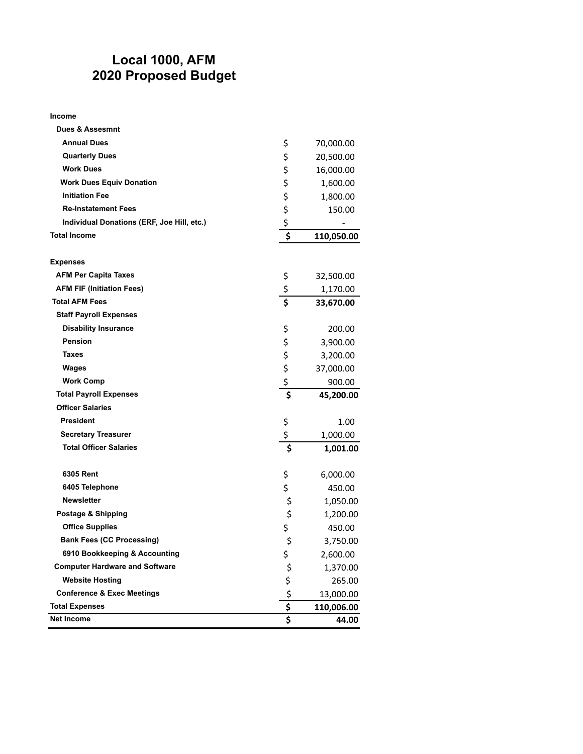## **Local 1000, AFM 2020 Proposed Budget**

#### **Income**

| <b>Dues &amp; Assesmnt</b>                 |                               |            |
|--------------------------------------------|-------------------------------|------------|
| <b>Annual Dues</b>                         | \$                            | 70,000.00  |
| <b>Quarterly Dues</b>                      | \$                            | 20,500.00  |
| <b>Work Dues</b>                           | \$                            | 16,000.00  |
| <b>Work Dues Equiv Donation</b>            | \$                            | 1,600.00   |
| <b>Initiation Fee</b>                      | \$                            | 1,800.00   |
| <b>Re-Instatement Fees</b>                 | \$                            | 150.00     |
| Individual Donations (ERF, Joe Hill, etc.) | \$                            |            |
| <b>Total Income</b>                        | \$                            | 110,050.00 |
|                                            |                               |            |
| <b>Expenses</b>                            |                               |            |
| <b>AFM Per Capita Taxes</b>                | \$                            | 32,500.00  |
| <b>AFM FIF (Initiation Fees)</b>           | $rac{5}{5}$                   | 1,170.00   |
| <b>Total AFM Fees</b>                      |                               | 33,670.00  |
| <b>Staff Payroll Expenses</b>              |                               |            |
| <b>Disability Insurance</b>                | \$                            | 200.00     |
| <b>Pension</b>                             | \$                            | 3,900.00   |
| <b>Taxes</b>                               | \$<br>\$                      | 3,200.00   |
| <b>Wages</b>                               |                               | 37,000.00  |
| <b>Work Comp</b>                           | \$                            | 900.00     |
| <b>Total Payroll Expenses</b>              | \$                            | 45,200.00  |
| <b>Officer Salaries</b>                    |                               |            |
| <b>President</b>                           | \$                            | 1.00       |
| <b>Secretary Treasurer</b>                 | \$                            | 1,000.00   |
| <b>Total Officer Salaries</b>              | $\overline{\boldsymbol{\xi}}$ | 1,001.00   |
|                                            |                               |            |
| 6305 Rent                                  | \$                            | 6,000.00   |
| 6405 Telephone                             | \$                            | 450.00     |
| <b>Newsletter</b>                          | \$                            | 1,050.00   |
| Postage & Shipping                         | \$                            | 1,200.00   |
| <b>Office Supplies</b>                     | \$                            | 450.00     |
| <b>Bank Fees (CC Processing)</b>           | \$                            | 3,750.00   |
| 6910 Bookkeeping & Accounting              | \$                            | 2,600.00   |
| <b>Computer Hardware and Software</b>      | \$                            | 1,370.00   |
| <b>Website Hosting</b>                     | \$                            | 265.00     |
| <b>Conference &amp; Exec Meetings</b>      | \$                            | 13,000.00  |
| <b>Total Expenses</b>                      | $\overline{\boldsymbol{\xi}}$ | 110,006.00 |
| Net Income                                 | \$                            | 44.00      |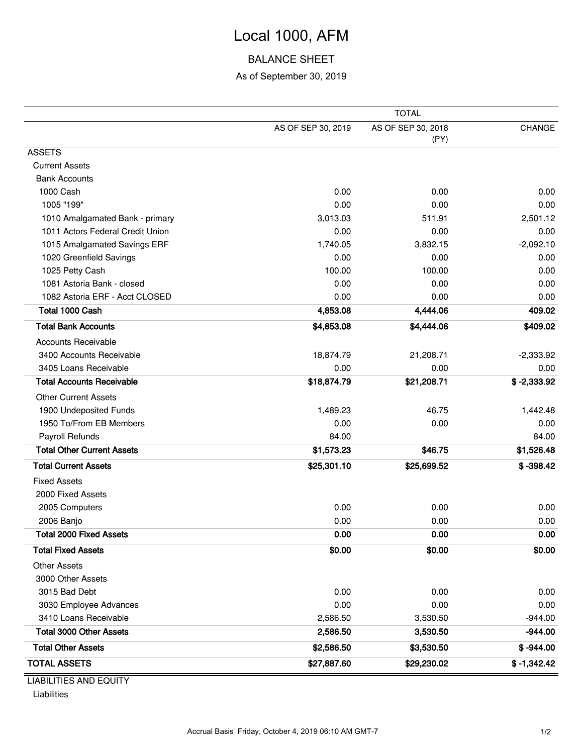# Local 1000, AFM

## BALANCE SHEET

### As of September 30, 2019

|                                   | <b>TOTAL</b>       |                            |               |  |  |  |
|-----------------------------------|--------------------|----------------------------|---------------|--|--|--|
|                                   | AS OF SEP 30, 2019 | AS OF SEP 30, 2018<br>(PY) | CHANGE        |  |  |  |
| <b>ASSETS</b>                     |                    |                            |               |  |  |  |
| <b>Current Assets</b>             |                    |                            |               |  |  |  |
| <b>Bank Accounts</b>              |                    |                            |               |  |  |  |
| 1000 Cash                         | 0.00               | 0.00                       | 0.00          |  |  |  |
| 1005 "199"                        | 0.00               | 0.00                       | 0.00          |  |  |  |
| 1010 Amalgamated Bank - primary   | 3,013.03           | 511.91                     | 2,501.12      |  |  |  |
| 1011 Actors Federal Credit Union  | 0.00               | 0.00                       | 0.00          |  |  |  |
| 1015 Amalgamated Savings ERF      | 1,740.05           | 3,832.15                   | $-2,092.10$   |  |  |  |
| 1020 Greenfield Savings           | 0.00               | 0.00                       | 0.00          |  |  |  |
| 1025 Petty Cash                   | 100.00             | 100.00                     | 0.00          |  |  |  |
| 1081 Astoria Bank - closed        | 0.00               | 0.00                       | 0.00          |  |  |  |
| 1082 Astoria ERF - Acct CLOSED    | 0.00               | 0.00                       | 0.00          |  |  |  |
| Total 1000 Cash                   | 4,853.08           | 4,444.06                   | 409.02        |  |  |  |
| <b>Total Bank Accounts</b>        | \$4,853.08         | \$4,444.06                 | \$409.02      |  |  |  |
| <b>Accounts Receivable</b>        |                    |                            |               |  |  |  |
| 3400 Accounts Receivable          | 18,874.79          | 21,208.71                  | $-2,333.92$   |  |  |  |
| 3405 Loans Receivable             | 0.00               | 0.00                       | 0.00          |  |  |  |
| <b>Total Accounts Receivable</b>  | \$18,874.79        | \$21,208.71                | $$ -2,333.92$ |  |  |  |
| <b>Other Current Assets</b>       |                    |                            |               |  |  |  |
| 1900 Undeposited Funds            | 1,489.23           | 46.75                      | 1,442.48      |  |  |  |
| 1950 To/From EB Members           | 0.00               | 0.00                       | 0.00          |  |  |  |
| Payroll Refunds                   | 84.00              |                            | 84.00         |  |  |  |
| <b>Total Other Current Assets</b> | \$1,573.23         | \$46.75                    | \$1,526.48    |  |  |  |
| <b>Total Current Assets</b>       | \$25,301.10        | \$25,699.52                | $$ -398.42$   |  |  |  |
| <b>Fixed Assets</b>               |                    |                            |               |  |  |  |
| 2000 Fixed Assets                 |                    |                            |               |  |  |  |
| 2005 Computers                    | 0.00               | 0.00                       | 0.00          |  |  |  |
| 2006 Banjo                        | 0.00               | 0.00                       | 0.00          |  |  |  |
| <b>Total 2000 Fixed Assets</b>    | 0.00               | 0.00                       | 0.00          |  |  |  |
| <b>Total Fixed Assets</b>         | \$0.00             | \$0.00                     | \$0.00        |  |  |  |
| <b>Other Assets</b>               |                    |                            |               |  |  |  |
| 3000 Other Assets                 |                    |                            |               |  |  |  |
| 3015 Bad Debt                     | 0.00               | 0.00                       | 0.00          |  |  |  |
| 3030 Employee Advances            | 0.00               | 0.00                       | 0.00          |  |  |  |
| 3410 Loans Receivable             | 2,586.50           | 3,530.50                   | $-944.00$     |  |  |  |
| <b>Total 3000 Other Assets</b>    | 2,586.50           | 3,530.50                   | $-944.00$     |  |  |  |
| <b>Total Other Assets</b>         | \$2,586.50         | \$3,530.50                 | $$ -944.00$   |  |  |  |
| <b>TOTAL ASSETS</b>               | \$27,887.60        | \$29,230.02                | $$ -1,342.42$ |  |  |  |
| <b>LIADILITIES AND EQUITY</b>     |                    |                            |               |  |  |  |

LIABILITIES AND EQUITY

Liabilities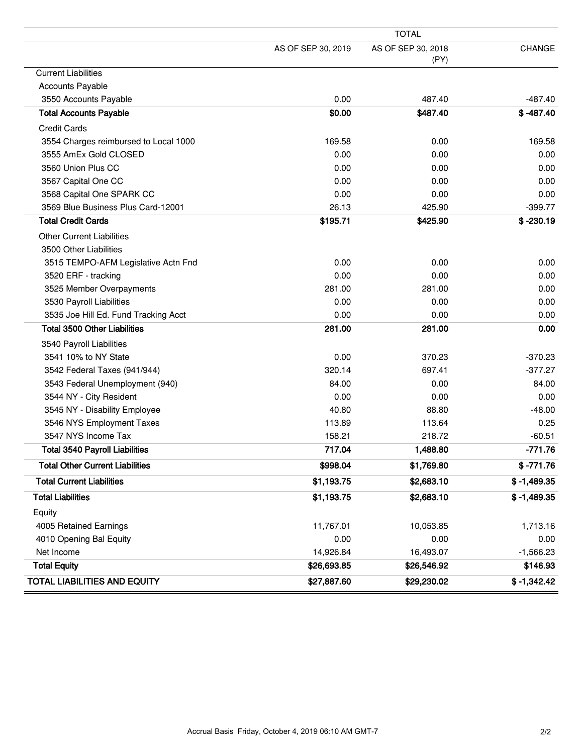|                                        | <b>TOTAL</b>       |                            |               |  |  |  |  |
|----------------------------------------|--------------------|----------------------------|---------------|--|--|--|--|
|                                        | AS OF SEP 30, 2019 | AS OF SEP 30, 2018<br>(PY) | <b>CHANGE</b> |  |  |  |  |
| <b>Current Liabilities</b>             |                    |                            |               |  |  |  |  |
| <b>Accounts Payable</b>                |                    |                            |               |  |  |  |  |
| 3550 Accounts Payable                  | 0.00               | 487.40                     | -487.40       |  |  |  |  |
| <b>Total Accounts Payable</b>          | \$0.00             | \$487.40                   | $$ -487.40$   |  |  |  |  |
| <b>Credit Cards</b>                    |                    |                            |               |  |  |  |  |
| 3554 Charges reimbursed to Local 1000  | 169.58             | 0.00                       | 169.58        |  |  |  |  |
| 3555 AmEx Gold CLOSED                  | 0.00               | 0.00                       | 0.00          |  |  |  |  |
| 3560 Union Plus CC                     | 0.00               | 0.00                       | 0.00          |  |  |  |  |
| 3567 Capital One CC                    | 0.00               | 0.00                       | 0.00          |  |  |  |  |
| 3568 Capital One SPARK CC              | 0.00               | 0.00                       | 0.00          |  |  |  |  |
| 3569 Blue Business Plus Card-12001     | 26.13              | 425.90                     | $-399.77$     |  |  |  |  |
| <b>Total Credit Cards</b>              | \$195.71           | \$425.90                   | $$ -230.19$   |  |  |  |  |
| <b>Other Current Liabilities</b>       |                    |                            |               |  |  |  |  |
| 3500 Other Liabilities                 |                    |                            |               |  |  |  |  |
| 3515 TEMPO-AFM Legislative Actn Fnd    | 0.00               | 0.00                       | 0.00          |  |  |  |  |
| 3520 ERF - tracking                    | 0.00               | 0.00                       | 0.00          |  |  |  |  |
| 3525 Member Overpayments               | 281.00             | 281.00                     | 0.00          |  |  |  |  |
| 3530 Payroll Liabilities               | 0.00               | 0.00                       | 0.00          |  |  |  |  |
| 3535 Joe Hill Ed. Fund Tracking Acct   | 0.00               | 0.00                       | 0.00          |  |  |  |  |
| <b>Total 3500 Other Liabilities</b>    | 281.00             | 281.00                     | 0.00          |  |  |  |  |
| 3540 Payroll Liabilities               |                    |                            |               |  |  |  |  |
| 3541 10% to NY State                   | 0.00               | 370.23                     | $-370.23$     |  |  |  |  |
| 3542 Federal Taxes (941/944)           | 320.14             | 697.41                     | $-377.27$     |  |  |  |  |
| 3543 Federal Unemployment (940)        | 84.00              | 0.00                       | 84.00         |  |  |  |  |
| 3544 NY - City Resident                | 0.00               | 0.00                       | 0.00          |  |  |  |  |
| 3545 NY - Disability Employee          | 40.80              | 88.80                      | $-48.00$      |  |  |  |  |
| 3546 NYS Employment Taxes              | 113.89             | 113.64                     | 0.25          |  |  |  |  |
| 3547 NYS Income Tax                    | 158.21             | 218.72                     | $-60.51$      |  |  |  |  |
| <b>Total 3540 Payroll Liabilities</b>  | 717.04             | 1,488.80                   | $-771.76$     |  |  |  |  |
| <b>Total Other Current Liabilities</b> | \$998.04           | \$1,769.80                 | $$ -771.76$   |  |  |  |  |
| <b>Total Current Liabilities</b>       | \$1,193.75         | \$2,683.10                 | $$ -1,489.35$ |  |  |  |  |
| <b>Total Liabilities</b>               | \$1,193.75         | \$2,683.10                 | $$ -1,489.35$ |  |  |  |  |
| Equity                                 |                    |                            |               |  |  |  |  |
| 4005 Retained Earnings                 | 11,767.01          | 10,053.85                  | 1,713.16      |  |  |  |  |
| 4010 Opening Bal Equity                | 0.00               | 0.00                       | 0.00          |  |  |  |  |
| Net Income                             | 14,926.84          | 16,493.07                  | $-1,566.23$   |  |  |  |  |
| <b>Total Equity</b>                    | \$26,693.85        | \$26,546.92                | \$146.93      |  |  |  |  |
| <b>TOTAL LIABILITIES AND EQUITY</b>    | \$27,887.60        | \$29,230.02                | $$ -1,342.42$ |  |  |  |  |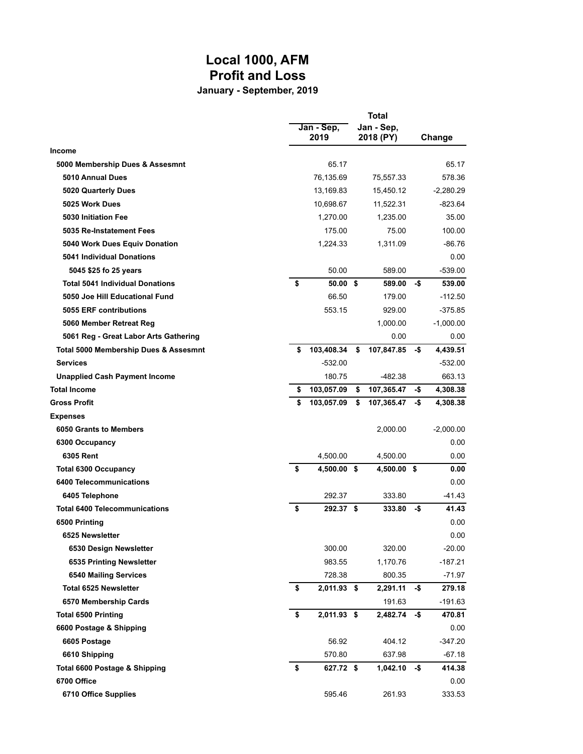# **Local 1000, AFM Profit and Loss**

**January - September, 2019**

|                                        | Jan - Sep,<br>2019 | <b>Total</b><br>Jan - Sep,<br>2018 (PY) |     | Change      |
|----------------------------------------|--------------------|-----------------------------------------|-----|-------------|
| <b>Income</b>                          |                    |                                         |     |             |
| 5000 Membership Dues & Assesmnt        | 65.17              |                                         |     | 65.17       |
| 5010 Annual Dues                       | 76,135.69          | 75,557.33                               |     | 578.36      |
| <b>5020 Quarterly Dues</b>             | 13,169.83          | 15,450.12                               |     | $-2,280.29$ |
| 5025 Work Dues                         | 10,698.67          | 11,522.31                               |     | -823.64     |
| 5030 Initiation Fee                    | 1,270.00           | 1.235.00                                |     | 35.00       |
| 5035 Re-Instatement Fees               | 175.00             | 75.00                                   |     | 100.00      |
| 5040 Work Dues Equiv Donation          | 1,224.33           | 1,311.09                                |     | $-86.76$    |
| <b>5041 Individual Donations</b>       |                    |                                         |     | 0.00        |
| 5045 \$25 fo 25 years                  | 50.00              | 589.00                                  |     | $-539.00$   |
| <b>Total 5041 Individual Donations</b> | \$<br>50.00 S      | 589.00                                  | -\$ | 539.00      |
| 5050 Joe Hill Educational Fund         | 66.50              | 179.00                                  |     | $-112.50$   |
| 5055 ERF contributions                 | 553.15             | 929.00                                  |     | $-375.85$   |
| 5060 Member Retreat Reg                |                    | 1,000.00                                |     | $-1,000.00$ |
| 5061 Reg - Great Labor Arts Gathering  |                    | 0.00                                    |     | 0.00        |
| Total 5000 Membership Dues & Assesmnt  | \$<br>103,408.34   | \$<br>107,847.85                        | -\$ | 4,439.51    |
| <b>Services</b>                        | $-532.00$          |                                         |     | $-532.00$   |
| <b>Unapplied Cash Payment Income</b>   | 180.75             | $-482.38$                               |     | 663.13      |
| <b>Total Income</b>                    | \$<br>103,057.09   | \$<br>107,365.47                        | -\$ | 4,308.38    |
| <b>Gross Profit</b>                    | \$<br>103,057.09   | \$<br>107,365.47                        | -\$ | 4,308.38    |
| <b>Expenses</b>                        |                    |                                         |     |             |
| 6050 Grants to Members                 |                    | 2,000.00                                |     | $-2,000.00$ |
| 6300 Occupancy                         |                    |                                         |     | 0.00        |
| 6305 Rent                              | 4,500.00           | 4,500.00                                |     | 0.00        |
| <b>Total 6300 Occupancy</b>            | \$<br>4,500.00 \$  | 4,500.00 \$                             |     | 0.00        |
| 6400 Telecommunications                |                    |                                         |     | 0.00        |
| 6405 Telephone                         | 292.37             | 333.80                                  |     | -41.43      |
| <b>Total 6400 Telecommunications</b>   | \$<br>292.37 \$    | 333.80                                  | -\$ | 41.43       |
| 6500 Printing                          |                    |                                         |     | 0.00        |
| 6525 Newsletter                        |                    |                                         |     | 0.00        |
| 6530 Design Newsletter                 | 300.00             | 320.00                                  |     | $-20.00$    |
| 6535 Printing Newsletter               | 983.55             | 1,170.76                                |     | $-187.21$   |
| <b>6540 Mailing Services</b>           | 728.38             | 800.35                                  |     | $-71.97$    |
| <b>Total 6525 Newsletter</b>           | \$<br>2,011.93 \$  | 2,291.11                                | -\$ | 279.18      |
| 6570 Membership Cards                  |                    | 191.63                                  |     | $-191.63$   |
| <b>Total 6500 Printing</b>             | \$<br>2,011.93 \$  | 2,482.74                                | -\$ | 470.81      |
| 6600 Postage & Shipping                |                    |                                         |     | 0.00        |
| 6605 Postage                           | 56.92              | 404.12                                  |     | $-347.20$   |
| 6610 Shipping                          | 570.80             | 637.98                                  |     | $-67.18$    |
| Total 6600 Postage & Shipping          | \$<br>627.72 \$    | 1,042.10                                | -\$ | 414.38      |
| 6700 Office                            |                    |                                         |     | 0.00        |
| 6710 Office Supplies                   | 595.46             | 261.93                                  |     | 333.53      |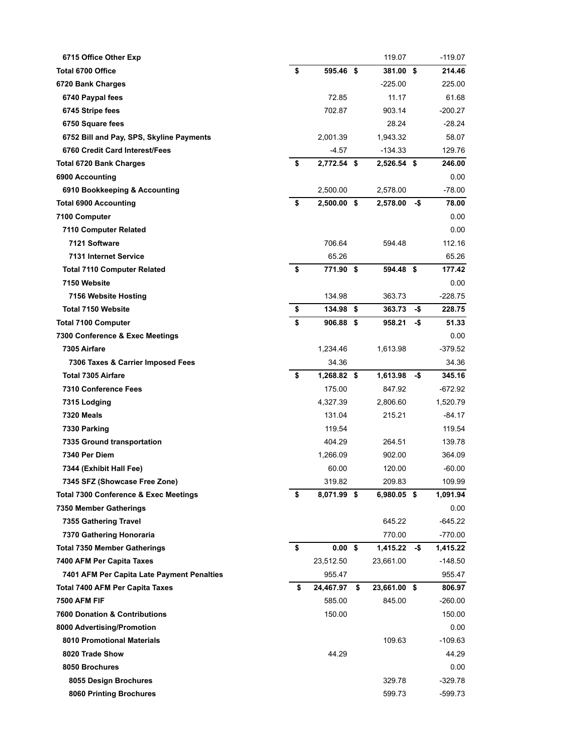| 6715 Office Other Exp                            |                     | 119.07             |     | $-119.07$ |
|--------------------------------------------------|---------------------|--------------------|-----|-----------|
| <b>Total 6700 Office</b>                         | \$<br>595.46 \$     | 381.00 \$          |     | 214.46    |
| 6720 Bank Charges                                |                     | $-225.00$          |     | 225.00    |
| 6740 Paypal fees                                 | 72.85               | 11.17              |     | 61.68     |
| 6745 Stripe fees                                 | 702.87              | 903.14             |     | -200.27   |
| 6750 Square fees                                 |                     | 28.24              |     | $-28.24$  |
| 6752 Bill and Pay, SPS, Skyline Payments         | 2,001.39            | 1,943.32           |     | 58.07     |
| 6760 Credit Card Interest/Fees                   | $-4.57$             | $-134.33$          |     | 129.76    |
| <b>Total 6720 Bank Charges</b>                   | \$<br>2,772.54 \$   | 2,526.54 \$        |     | 246.00    |
| 6900 Accounting                                  |                     |                    |     | 0.00      |
| 6910 Bookkeeping & Accounting                    | 2,500.00            | 2,578.00           |     | $-78.00$  |
| <b>Total 6900 Accounting</b>                     | \$<br>$2,500.00$ \$ | $2,578.00 - $$     |     | 78.00     |
| 7100 Computer                                    |                     |                    |     | 0.00      |
| 7110 Computer Related                            |                     |                    |     | 0.00      |
| 7121 Software                                    | 706.64              | 594.48             |     | 112.16    |
| 7131 Internet Service                            | 65.26               |                    |     | 65.26     |
| <b>Total 7110 Computer Related</b>               | \$<br>771.90 \$     | 594.48 \$          |     | 177.42    |
| 7150 Website                                     |                     |                    |     | 0.00      |
| 7156 Website Hosting                             | 134.98              | 363.73             |     | $-228.75$ |
| Total 7150 Website                               | \$<br>134.98 \$     | 363.73             | -\$ | 228.75    |
| <b>Total 7100 Computer</b>                       | \$<br>906.88 \$     | 958.21             | -\$ | 51.33     |
| 7300 Conference & Exec Meetings                  |                     |                    |     | 0.00      |
| 7305 Airfare                                     | 1,234.46            | 1,613.98           |     | -379.52   |
| 7306 Taxes & Carrier Imposed Fees                | 34.36               |                    |     | 34.36     |
| <b>Total 7305 Airfare</b>                        | \$<br>1,268.82 \$   | 1,613.98           | -\$ | 345.16    |
| 7310 Conference Fees                             | 175.00              | 847.92             |     | -672.92   |
| 7315 Lodging                                     | 4,327.39            | 2,806.60           |     | 1,520.79  |
| 7320 Meals                                       | 131.04              | 215.21             |     | -84.17    |
| 7330 Parking                                     | 119.54              |                    |     | 119.54    |
| 7335 Ground transportation                       | 404.29              | 264.51             |     | 139.78    |
| 7340 Per Diem                                    | 1,266.09            | 902.00             |     | 364.09    |
| 7344 (Exhibit Hall Fee)                          | 60.00               | 120.00             |     | $-60.00$  |
| 7345 SFZ (Showcase Free Zone)                    | 319.82              | 209.83             |     | 109.99    |
| <b>Total 7300 Conference &amp; Exec Meetings</b> | \$<br>8,071.99 \$   | 6,980.05 \$        |     | 1,091.94  |
| 7350 Member Gatherings                           |                     |                    |     | 0.00      |
| 7355 Gathering Travel                            |                     | 645.22             |     | $-645.22$ |
| 7370 Gathering Honoraria                         |                     | 770.00             |     | $-770.00$ |
| <b>Total 7350 Member Gatherings</b>              | \$<br>$0.00$ \$     | $1,415.22 - $$     |     | 1,415.22  |
| 7400 AFM Per Capita Taxes                        | 23,512.50           | 23,661.00          |     | -148.50   |
| 7401 AFM Per Capita Late Payment Penalties       | 955.47              |                    |     | 955.47    |
| <b>Total 7400 AFM Per Capita Taxes</b>           | \$<br>24,467.97     | \$<br>23,661.00 \$ |     | 806.97    |
| <b>7500 AFM FIF</b>                              | 585.00              | 845.00             |     | -260.00   |
| <b>7600 Donation &amp; Contributions</b>         | 150.00              |                    |     | 150.00    |
| 8000 Advertising/Promotion                       |                     |                    |     | 0.00      |
| 8010 Promotional Materials                       |                     | 109.63             |     | -109.63   |
| 8020 Trade Show                                  | 44.29               |                    |     | 44.29     |
| 8050 Brochures                                   |                     |                    |     | 0.00      |
| 8055 Design Brochures                            |                     | 329.78             |     | -329.78   |
| 8060 Printing Brochures                          |                     | 599.73             |     | -599.73   |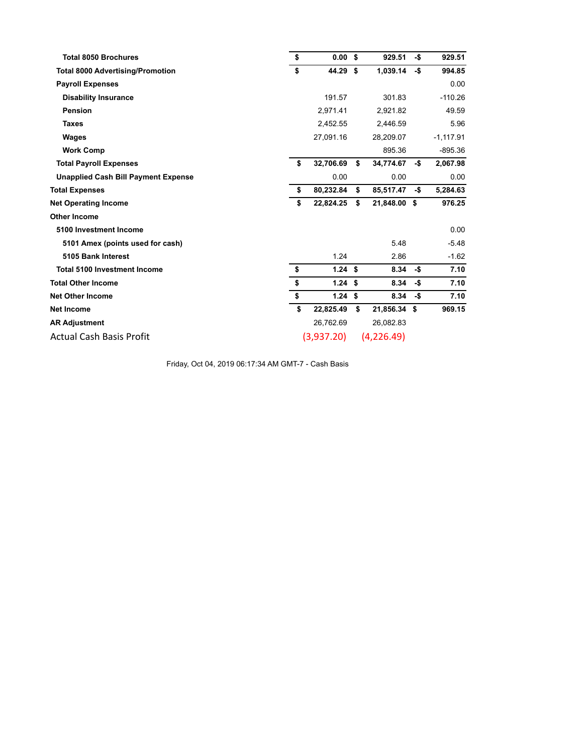| <b>Total 8050 Brochures</b><br>\$             | 0.00            | \$ | 929.51       | -\$ | 929.51      |
|-----------------------------------------------|-----------------|----|--------------|-----|-------------|
| \$<br><b>Total 8000 Advertising/Promotion</b> | 44.29           | Ŝ. | 1,039.14     | -\$ | 994.85      |
| <b>Payroll Expenses</b>                       |                 |    |              |     | 0.00        |
| <b>Disability Insurance</b>                   | 191.57          |    | 301.83       |     | $-110.26$   |
| Pension                                       | 2,971.41        |    | 2,921.82     |     | 49.59       |
| <b>Taxes</b>                                  | 2,452.55        |    | 2,446.59     |     | 5.96        |
| Wages                                         | 27,091.16       |    | 28,209.07    |     | $-1,117.91$ |
| <b>Work Comp</b>                              |                 |    | 895.36       |     | $-895.36$   |
| <b>Total Payroll Expenses</b>                 | \$<br>32,706.69 | \$ | 34,774.67    | -\$ | 2,067.98    |
| <b>Unapplied Cash Bill Payment Expense</b>    | 0.00            |    | 0.00         |     | 0.00        |
| <b>Total Expenses</b>                         | \$<br>80,232.84 | \$ | 85,517.47    | -\$ | 5,284.63    |
| <b>Net Operating Income</b>                   | \$<br>22,824.25 | \$ | 21,848.00 \$ |     | 976.25      |
| <b>Other Income</b>                           |                 |    |              |     |             |
| 5100 Investment Income                        |                 |    |              |     | 0.00        |
| 5101 Amex (points used for cash)              |                 |    | 5.48         |     | $-5.48$     |
| 5105 Bank Interest                            | 1.24            |    | 2.86         |     | $-1.62$     |
| \$<br><b>Total 5100 Investment Income</b>     | 1.24S           |    | 8.34         | -\$ | 7.10        |
| \$<br><b>Total Other Income</b>               | 1.24S           |    | 8.34         | -\$ | 7.10        |
| \$<br><b>Net Other Income</b>                 | 1.24S           |    | 8.34         | -\$ | 7.10        |
| <b>Net Income</b>                             | \$<br>22,825.49 | \$ | 21,856.34 \$ |     | 969.15      |
| <b>AR Adjustment</b>                          | 26,762.69       |    | 26,082.83    |     |             |
| <b>Actual Cash Basis Profit</b>               | (3,937.20)      |    | (4,226.49)   |     |             |

Friday, Oct 04, 2019 06:17:34 AM GMT-7 - Cash Basis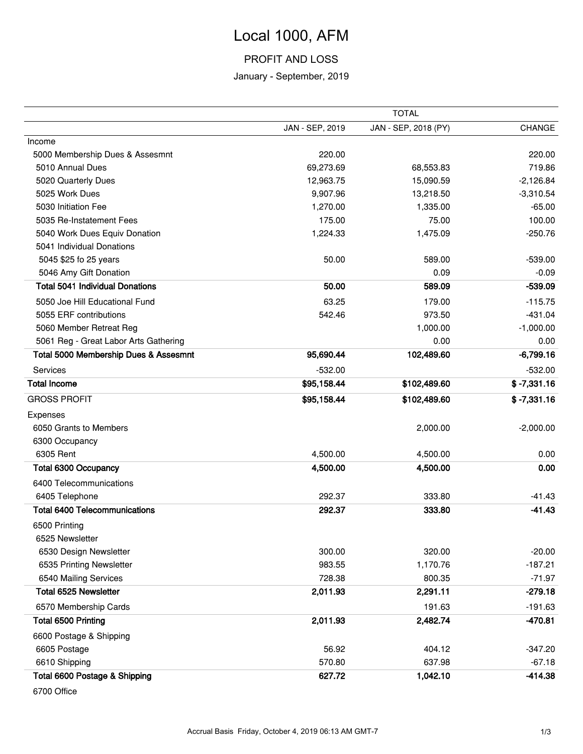# Local 1000, AFM

### PROFIT AND LOSS

### January - September, 2019

|                                        | <b>TOTAL</b>    |                      |               |  |  |
|----------------------------------------|-----------------|----------------------|---------------|--|--|
|                                        | JAN - SEP, 2019 | JAN - SEP, 2018 (PY) | CHANGE        |  |  |
| Income                                 |                 |                      |               |  |  |
| 5000 Membership Dues & Assesmnt        | 220.00          |                      | 220.00        |  |  |
| 5010 Annual Dues                       | 69,273.69       | 68,553.83            | 719.86        |  |  |
| 5020 Quarterly Dues                    | 12,963.75       | 15,090.59            | $-2,126.84$   |  |  |
| 5025 Work Dues                         | 9,907.96        | 13,218.50            | $-3,310.54$   |  |  |
| 5030 Initiation Fee                    | 1,270.00        | 1,335.00             | $-65.00$      |  |  |
| 5035 Re-Instatement Fees               | 175.00          | 75.00                | 100.00        |  |  |
| 5040 Work Dues Equiv Donation          | 1,224.33        | 1,475.09             | $-250.76$     |  |  |
| 5041 Individual Donations              |                 |                      |               |  |  |
| 5045 \$25 fo 25 years                  | 50.00           | 589.00               | $-539.00$     |  |  |
| 5046 Amy Gift Donation                 |                 | 0.09                 | $-0.09$       |  |  |
| <b>Total 5041 Individual Donations</b> | 50.00           | 589.09               | $-539.09$     |  |  |
| 5050 Joe Hill Educational Fund         | 63.25           | 179.00               | $-115.75$     |  |  |
| 5055 ERF contributions                 | 542.46          | 973.50               | $-431.04$     |  |  |
| 5060 Member Retreat Reg                |                 | 1,000.00             | $-1,000.00$   |  |  |
| 5061 Reg - Great Labor Arts Gathering  |                 | 0.00                 | 0.00          |  |  |
| Total 5000 Membership Dues & Assesmnt  | 95,690.44       | 102,489.60           | $-6,799.16$   |  |  |
| Services                               | $-532.00$       |                      | $-532.00$     |  |  |
| <b>Total Income</b>                    | \$95,158.44     | \$102,489.60         | $$ -7,331.16$ |  |  |
| <b>GROSS PROFIT</b>                    | \$95,158.44     | \$102,489.60         | $$ -7,331.16$ |  |  |
| Expenses                               |                 |                      |               |  |  |
| 6050 Grants to Members                 |                 | 2,000.00             | $-2,000.00$   |  |  |
| 6300 Occupancy                         |                 |                      |               |  |  |
| 6305 Rent                              | 4,500.00        | 4,500.00             | 0.00          |  |  |
| <b>Total 6300 Occupancy</b>            | 4,500.00        | 4,500.00             | 0.00          |  |  |
| 6400 Telecommunications                |                 |                      |               |  |  |
| 6405 Telephone                         | 292.37          | 333.80               | $-41.43$      |  |  |
| <b>Total 6400 Telecommunications</b>   | 292.37          | 333.80               | $-41.43$      |  |  |
| 6500 Printing                          |                 |                      |               |  |  |
| 6525 Newsletter                        |                 |                      |               |  |  |
| 6530 Design Newsletter                 | 300.00          | 320.00               | $-20.00$      |  |  |
| 6535 Printing Newsletter               | 983.55          | 1,170.76             | $-187.21$     |  |  |
| 6540 Mailing Services                  | 728.38          | 800.35               | $-71.97$      |  |  |
| <b>Total 6525 Newsletter</b>           | 2,011.93        | 2,291.11             | $-279.18$     |  |  |
| 6570 Membership Cards                  |                 | 191.63               | $-191.63$     |  |  |
| Total 6500 Printing                    | 2,011.93        | 2,482.74             | $-470.81$     |  |  |
| 6600 Postage & Shipping                |                 |                      |               |  |  |
| 6605 Postage                           | 56.92           | 404.12               | $-347.20$     |  |  |
| 6610 Shipping                          | 570.80          | 637.98               | $-67.18$      |  |  |
| Total 6600 Postage & Shipping          | 627.72          | 1,042.10             | $-414.38$     |  |  |
|                                        |                 |                      |               |  |  |

6700 Office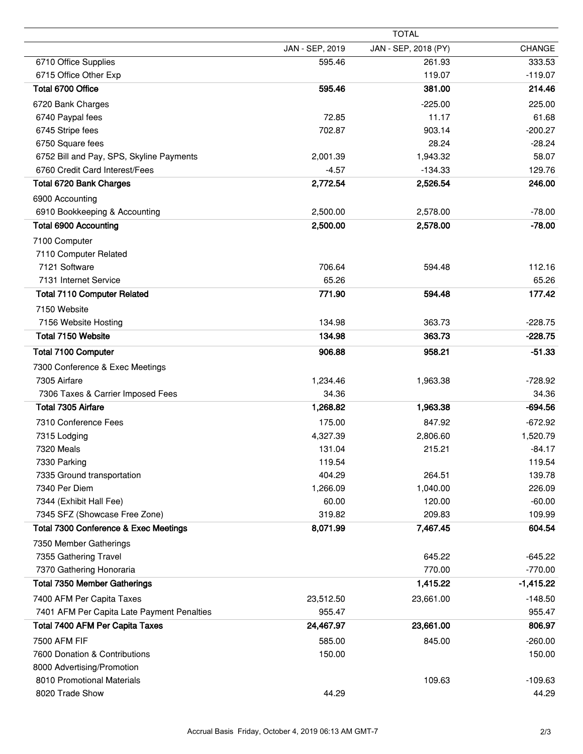| <b>CHANGE</b><br>333.53                |
|----------------------------------------|
|                                        |
| $-119.07$<br>214.46<br>225.00<br>61.68 |
|                                        |
|                                        |
|                                        |
|                                        |
| $-200.27$                              |
| $-28.24$                               |
| 58.07                                  |
| 129.76                                 |
| 246.00                                 |
|                                        |
| $-78.00$                               |
| $-78.00$                               |
|                                        |
|                                        |
| 112.16                                 |
| 65.26                                  |
| 177.42                                 |
|                                        |
| $-228.75$                              |
| $-228.75$                              |
| $-51.33$                               |
|                                        |
| $-728.92$                              |
| 34.36                                  |
| $-694.56$                              |
| $-672.92$                              |
| 1,520.79                               |
| $-84.17$                               |
| 119.54                                 |
| 139.78                                 |
| 226.09                                 |
| $-60.00$                               |
| 109.99                                 |
| 604.54                                 |
|                                        |
| $-645.22$                              |
| $-770.00$                              |
| $-1,415.22$                            |
| $-148.50$                              |
| 955.47                                 |
| 806.97                                 |
| $-260.00$                              |
| 150.00                                 |
|                                        |
| $-109.63$                              |
| 44.29                                  |
|                                        |